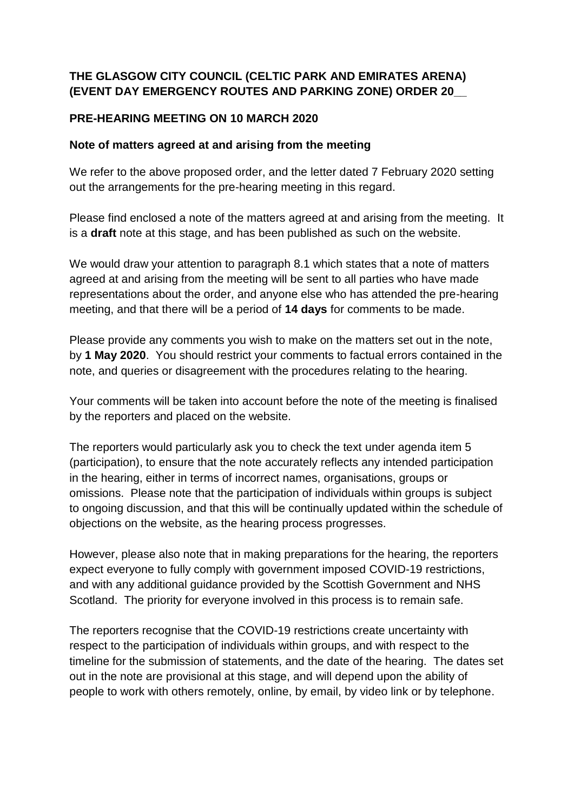## **THE GLASGOW CITY COUNCIL (CELTIC PARK AND EMIRATES ARENA) (EVENT DAY EMERGENCY ROUTES AND PARKING ZONE) ORDER 20\_\_**

## **PRE-HEARING MEETING ON 10 MARCH 2020**

## **Note of matters agreed at and arising from the meeting**

We refer to the above proposed order, and the letter dated 7 February 2020 setting out the arrangements for the pre-hearing meeting in this regard.

Please find enclosed a note of the matters agreed at and arising from the meeting. It is a **draft** note at this stage, and has been published as such on the website.

We would draw your attention to paragraph 8.1 which states that a note of matters agreed at and arising from the meeting will be sent to all parties who have made representations about the order, and anyone else who has attended the pre-hearing meeting, and that there will be a period of **14 days** for comments to be made.

Please provide any comments you wish to make on the matters set out in the note, by **1 May 2020**. You should restrict your comments to factual errors contained in the note, and queries or disagreement with the procedures relating to the hearing.

Your comments will be taken into account before the note of the meeting is finalised by the reporters and placed on the website.

The reporters would particularly ask you to check the text under agenda item 5 (participation), to ensure that the note accurately reflects any intended participation in the hearing, either in terms of incorrect names, organisations, groups or omissions. Please note that the participation of individuals within groups is subject to ongoing discussion, and that this will be continually updated within the schedule of objections on the website, as the hearing process progresses.

However, please also note that in making preparations for the hearing, the reporters expect everyone to fully comply with government imposed COVID-19 restrictions, and with any additional guidance provided by the Scottish Government and NHS Scotland. The priority for everyone involved in this process is to remain safe.

The reporters recognise that the COVID-19 restrictions create uncertainty with respect to the participation of individuals within groups, and with respect to the timeline for the submission of statements, and the date of the hearing. The dates set out in the note are provisional at this stage, and will depend upon the ability of people to work with others remotely, online, by email, by video link or by telephone.